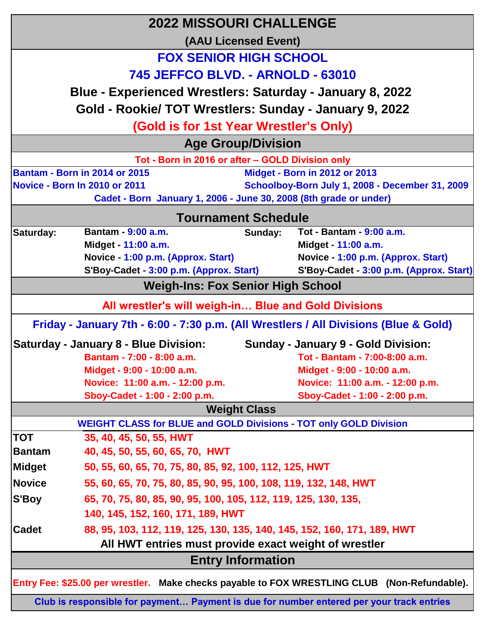| <b>(AAU Licensed Event)</b><br><b>FOX SENIOR HIGH SCHOOL</b><br>745 JEFFCO BLVD. - ARNOLD - 63010<br>Blue - Experienced Wrestlers: Saturday - January 8, 2022<br>Gold - Rookie/ TOT Wrestlers: Sunday - January 9, 2022<br>(Gold is for 1st Year Wrestler's Only)<br><b>Age Group/Division</b><br>Tot - Born in 2016 or after - GOLD Division only<br><b>Bantam - Born in 2014 or 2015</b><br>Midget - Born in 2012 or 2013<br>Schoolboy-Born July 1, 2008 - December 31, 2009<br>Novice - Born In 2010 or 2011<br>Cadet - Born January 1, 2006 - June 30, 2008 (8th grade or under)<br><b>Tournament Schedule</b><br>Bantam - 9:00 a.m.<br>Tot - Bantam - 9:00 a.m.<br>Saturday:<br>Sunday:<br>Midget - 11:00 a.m.<br>Midget - 11:00 a.m.<br>Novice - 1:00 p.m. (Approx. Start)<br>Novice - 1:00 p.m. (Approx. Start)<br>S'Boy-Cadet - 3:00 p.m. (Approx. Start)<br><b>Weigh-Ins: Fox Senior High School</b><br>All wrestler's will weigh-in Blue and Gold Divisions |  |  |
|-----------------------------------------------------------------------------------------------------------------------------------------------------------------------------------------------------------------------------------------------------------------------------------------------------------------------------------------------------------------------------------------------------------------------------------------------------------------------------------------------------------------------------------------------------------------------------------------------------------------------------------------------------------------------------------------------------------------------------------------------------------------------------------------------------------------------------------------------------------------------------------------------------------------------------------------------------------------------|--|--|
| S'Boy-Cadet - 3:00 p.m. (Approx. Start)                                                                                                                                                                                                                                                                                                                                                                                                                                                                                                                                                                                                                                                                                                                                                                                                                                                                                                                               |  |  |
|                                                                                                                                                                                                                                                                                                                                                                                                                                                                                                                                                                                                                                                                                                                                                                                                                                                                                                                                                                       |  |  |
|                                                                                                                                                                                                                                                                                                                                                                                                                                                                                                                                                                                                                                                                                                                                                                                                                                                                                                                                                                       |  |  |
|                                                                                                                                                                                                                                                                                                                                                                                                                                                                                                                                                                                                                                                                                                                                                                                                                                                                                                                                                                       |  |  |
|                                                                                                                                                                                                                                                                                                                                                                                                                                                                                                                                                                                                                                                                                                                                                                                                                                                                                                                                                                       |  |  |
|                                                                                                                                                                                                                                                                                                                                                                                                                                                                                                                                                                                                                                                                                                                                                                                                                                                                                                                                                                       |  |  |
|                                                                                                                                                                                                                                                                                                                                                                                                                                                                                                                                                                                                                                                                                                                                                                                                                                                                                                                                                                       |  |  |
|                                                                                                                                                                                                                                                                                                                                                                                                                                                                                                                                                                                                                                                                                                                                                                                                                                                                                                                                                                       |  |  |
|                                                                                                                                                                                                                                                                                                                                                                                                                                                                                                                                                                                                                                                                                                                                                                                                                                                                                                                                                                       |  |  |
|                                                                                                                                                                                                                                                                                                                                                                                                                                                                                                                                                                                                                                                                                                                                                                                                                                                                                                                                                                       |  |  |
|                                                                                                                                                                                                                                                                                                                                                                                                                                                                                                                                                                                                                                                                                                                                                                                                                                                                                                                                                                       |  |  |
|                                                                                                                                                                                                                                                                                                                                                                                                                                                                                                                                                                                                                                                                                                                                                                                                                                                                                                                                                                       |  |  |
|                                                                                                                                                                                                                                                                                                                                                                                                                                                                                                                                                                                                                                                                                                                                                                                                                                                                                                                                                                       |  |  |
|                                                                                                                                                                                                                                                                                                                                                                                                                                                                                                                                                                                                                                                                                                                                                                                                                                                                                                                                                                       |  |  |
|                                                                                                                                                                                                                                                                                                                                                                                                                                                                                                                                                                                                                                                                                                                                                                                                                                                                                                                                                                       |  |  |
|                                                                                                                                                                                                                                                                                                                                                                                                                                                                                                                                                                                                                                                                                                                                                                                                                                                                                                                                                                       |  |  |
|                                                                                                                                                                                                                                                                                                                                                                                                                                                                                                                                                                                                                                                                                                                                                                                                                                                                                                                                                                       |  |  |
|                                                                                                                                                                                                                                                                                                                                                                                                                                                                                                                                                                                                                                                                                                                                                                                                                                                                                                                                                                       |  |  |
| Friday - January 7th - 6:00 - 7:30 p.m. (All Wrestlers / All Divisions (Blue & Gold)                                                                                                                                                                                                                                                                                                                                                                                                                                                                                                                                                                                                                                                                                                                                                                                                                                                                                  |  |  |
| <b>Saturday - January 8 - Blue Division:</b><br><b>Sunday - January 9 - Gold Division:</b>                                                                                                                                                                                                                                                                                                                                                                                                                                                                                                                                                                                                                                                                                                                                                                                                                                                                            |  |  |
| Bantam - 7:00 - 8:00 a.m.<br>Tot - Bantam - 7:00-8:00 a.m.                                                                                                                                                                                                                                                                                                                                                                                                                                                                                                                                                                                                                                                                                                                                                                                                                                                                                                            |  |  |
| Midget - 9:00 - 10:00 a.m.<br>Midget - 9:00 - 10:00 a.m.                                                                                                                                                                                                                                                                                                                                                                                                                                                                                                                                                                                                                                                                                                                                                                                                                                                                                                              |  |  |
| Novice: 11:00 a.m. - 12:00 p.m.<br>Novice: 11:00 a.m. - 12:00 p.m.                                                                                                                                                                                                                                                                                                                                                                                                                                                                                                                                                                                                                                                                                                                                                                                                                                                                                                    |  |  |
| Sboy-Cadet - 1:00 - 2:00 p.m.<br>Sboy-Cadet - 1:00 - 2:00 p.m.                                                                                                                                                                                                                                                                                                                                                                                                                                                                                                                                                                                                                                                                                                                                                                                                                                                                                                        |  |  |
| <b>Weight Class</b>                                                                                                                                                                                                                                                                                                                                                                                                                                                                                                                                                                                                                                                                                                                                                                                                                                                                                                                                                   |  |  |
| <b>WEIGHT CLASS for BLUE and GOLD Divisions - TOT only GOLD Division</b>                                                                                                                                                                                                                                                                                                                                                                                                                                                                                                                                                                                                                                                                                                                                                                                                                                                                                              |  |  |
| <b>TOT</b><br>35, 40, 45, 50, 55, HWT                                                                                                                                                                                                                                                                                                                                                                                                                                                                                                                                                                                                                                                                                                                                                                                                                                                                                                                                 |  |  |
| <b>Bantam</b><br>40, 45, 50, 55, 60, 65, 70, HWT                                                                                                                                                                                                                                                                                                                                                                                                                                                                                                                                                                                                                                                                                                                                                                                                                                                                                                                      |  |  |
| <b>Midget</b><br>50, 55, 60, 65, 70, 75, 80, 85, 92, 100, 112, 125, HWT                                                                                                                                                                                                                                                                                                                                                                                                                                                                                                                                                                                                                                                                                                                                                                                                                                                                                               |  |  |
| <b>Novice</b><br>55, 60, 65, 70, 75, 80, 85, 90, 95, 100, 108, 119, 132, 148, HWT                                                                                                                                                                                                                                                                                                                                                                                                                                                                                                                                                                                                                                                                                                                                                                                                                                                                                     |  |  |
| S'Boy<br>65, 70, 75, 80, 85, 90, 95, 100, 105, 112, 119, 125, 130, 135,                                                                                                                                                                                                                                                                                                                                                                                                                                                                                                                                                                                                                                                                                                                                                                                                                                                                                               |  |  |
| 140, 145, 152, 160, 171, 189, HWT                                                                                                                                                                                                                                                                                                                                                                                                                                                                                                                                                                                                                                                                                                                                                                                                                                                                                                                                     |  |  |
| 88, 95, 103, 112, 119, 125, 130, 135, 140, 145, 152, 160, 171, 189, HWT<br><b>Cadet</b>                                                                                                                                                                                                                                                                                                                                                                                                                                                                                                                                                                                                                                                                                                                                                                                                                                                                               |  |  |
| All HWT entries must provide exact weight of wrestler                                                                                                                                                                                                                                                                                                                                                                                                                                                                                                                                                                                                                                                                                                                                                                                                                                                                                                                 |  |  |
| <b>Entry Information</b>                                                                                                                                                                                                                                                                                                                                                                                                                                                                                                                                                                                                                                                                                                                                                                                                                                                                                                                                              |  |  |
| Entry Fee: \$25.00 per wrestler. Make checks payable to FOX WRESTLING CLUB (Non-Refundable).                                                                                                                                                                                                                                                                                                                                                                                                                                                                                                                                                                                                                                                                                                                                                                                                                                                                          |  |  |
| Club is responsible for payment Payment is due for number entered per your track entries                                                                                                                                                                                                                                                                                                                                                                                                                                                                                                                                                                                                                                                                                                                                                                                                                                                                              |  |  |